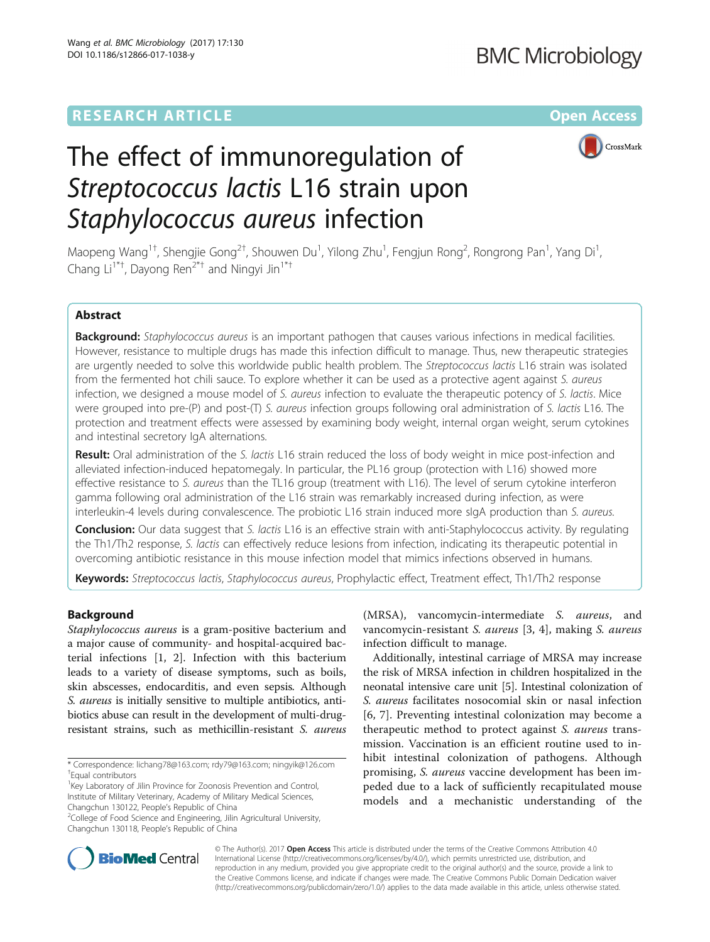# **RESEARCH ARTICLE Example 2014 12:30 The Contract of Contract Article 2014**



# The effect of immunoregulation of Streptococcus lactis L16 strain upon Staphylococcus aureus infection

Maopeng Wang<sup>1†</sup>, Shengjie Gong<sup>2†</sup>, Shouwen Du<sup>1</sup>, Yilong Zhu<sup>1</sup>, Fengjun Rong<sup>2</sup>, Rongrong Pan<sup>1</sup>, Yang Di<sup>1</sup> , Chang Li<sup>1\*†</sup>, Dayong Ren<sup>2\*†</sup> and Ningyi Jin<sup>1\*†</sup>

# Abstract

Background: Staphylococcus aureus is an important pathogen that causes various infections in medical facilities. However, resistance to multiple drugs has made this infection difficult to manage. Thus, new therapeutic strategies are urgently needed to solve this worldwide public health problem. The Streptococcus lactis L16 strain was isolated from the fermented hot chili sauce. To explore whether it can be used as a protective agent against S. aureus infection, we designed a mouse model of S. aureus infection to evaluate the therapeutic potency of S. lactis. Mice were grouped into pre-(P) and post-(T) S. aureus infection groups following oral administration of S. lactis L16. The protection and treatment effects were assessed by examining body weight, internal organ weight, serum cytokines and intestinal secretory IgA alternations.

Result: Oral administration of the S. lactis L16 strain reduced the loss of body weight in mice post-infection and alleviated infection-induced hepatomegaly. In particular, the PL16 group (protection with L16) showed more effective resistance to S. aureus than the TL16 group (treatment with L16). The level of serum cytokine interferon gamma following oral administration of the L16 strain was remarkably increased during infection, as were interleukin-4 levels during convalescence. The probiotic L16 strain induced more sIgA production than S. aureus.

**Conclusion:** Our data suggest that S. lactis L16 is an effective strain with anti-Staphylococcus activity. By regulating the Th1/Th2 response, S. lactis can effectively reduce lesions from infection, indicating its therapeutic potential in overcoming antibiotic resistance in this mouse infection model that mimics infections observed in humans.

Keywords: Streptococcus lactis, Staphylococcus aureus, Prophylactic effect, Treatment effect, Th1/Th2 response

# Background

Staphylococcus aureus is a gram-positive bacterium and a major cause of community- and hospital-acquired bacterial infections [\[1](#page-5-0), [2](#page-5-0)]. Infection with this bacterium leads to a variety of disease symptoms, such as boils, skin abscesses, endocarditis, and even sepsis. Although S. aureus is initially sensitive to multiple antibiotics, antibiotics abuse can result in the development of multi-drugresistant strains, such as methicillin-resistant S. aureus

(MRSA), vancomycin-intermediate S. aureus, and vancomycin-resistant S. aureus [[3, 4](#page-5-0)], making S. aureus infection difficult to manage.

Additionally, intestinal carriage of MRSA may increase the risk of MRSA infection in children hospitalized in the neonatal intensive care unit [\[5\]](#page-5-0). Intestinal colonization of S. aureus facilitates nosocomial skin or nasal infection [[6, 7\]](#page-5-0). Preventing intestinal colonization may become a therapeutic method to protect against *S. aureus* transmission. Vaccination is an efficient routine used to inhibit intestinal colonization of pathogens. Although promising, S. aureus vaccine development has been impeded due to a lack of sufficiently recapitulated mouse models and a mechanistic understanding of the



© The Author(s). 2017 **Open Access** This article is distributed under the terms of the Creative Commons Attribution 4.0 International License [\(http://creativecommons.org/licenses/by/4.0/](http://creativecommons.org/licenses/by/4.0/)), which permits unrestricted use, distribution, and reproduction in any medium, provided you give appropriate credit to the original author(s) and the source, provide a link to the Creative Commons license, and indicate if changes were made. The Creative Commons Public Domain Dedication waiver [\(http://creativecommons.org/publicdomain/zero/1.0/](http://creativecommons.org/publicdomain/zero/1.0/)) applies to the data made available in this article, unless otherwise stated.

<sup>\*</sup> Correspondence: [lichang78@163.com](mailto:lichang78@163.com); [rdy79@163.com](mailto:rdy79@163.com); [ningyik@126.com](mailto:ningyik@126.com) † Equal contributors

<sup>&</sup>lt;sup>1</sup> Key Laboratory of Jilin Province for Zoonosis Prevention and Control, Institute of Military Veterinary, Academy of Military Medical Sciences, Changchun 130122, People's Republic of China <sup>2</sup>

<sup>&</sup>lt;sup>2</sup>College of Food Science and Engineering, Jilin Agricultural University, Changchun 130118, People's Republic of China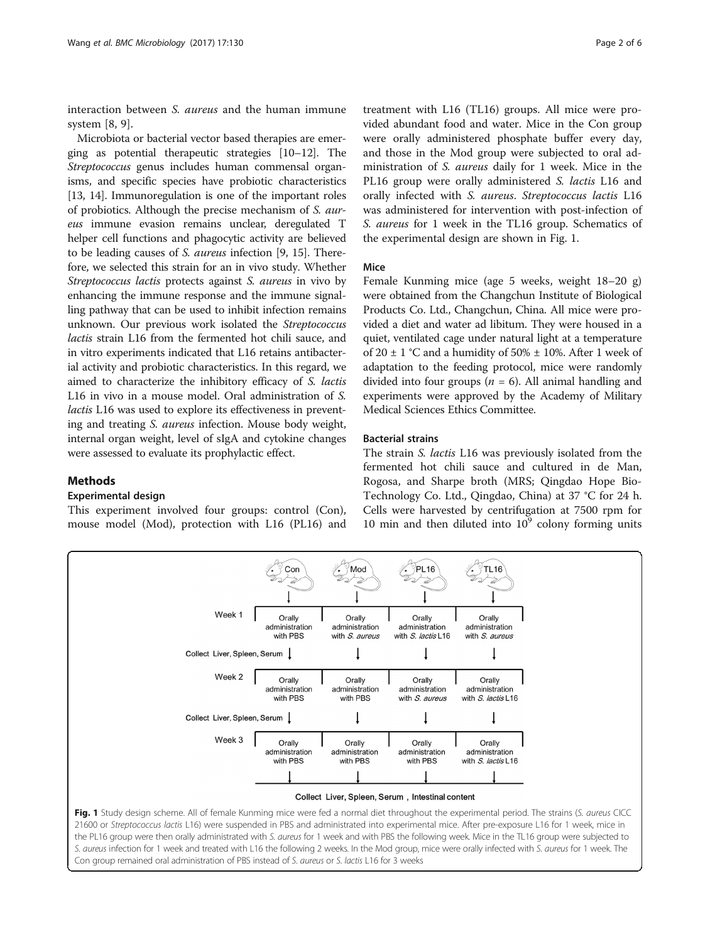interaction between *S. aureus* and the human immune system [\[8](#page-5-0), [9](#page-5-0)].

Microbiota or bacterial vector based therapies are emerging as potential therapeutic strategies [\[10](#page-5-0)–[12](#page-5-0)]. The Streptococcus genus includes human commensal organisms, and specific species have probiotic characteristics [[13](#page-5-0), [14\]](#page-5-0). Immunoregulation is one of the important roles of probiotics. Although the precise mechanism of S. aureus immune evasion remains unclear, deregulated T helper cell functions and phagocytic activity are believed to be leading causes of S. aureus infection [[9, 15\]](#page-5-0). Therefore, we selected this strain for an in vivo study. Whether Streptococcus lactis protects against S. aureus in vivo by enhancing the immune response and the immune signalling pathway that can be used to inhibit infection remains unknown. Our previous work isolated the Streptococcus lactis strain L16 from the fermented hot chili sauce, and in vitro experiments indicated that L16 retains antibacterial activity and probiotic characteristics. In this regard, we aimed to characterize the inhibitory efficacy of S. lactis L16 in vivo in a mouse model. Oral administration of S. lactis L16 was used to explore its effectiveness in preventing and treating S. aureus infection. Mouse body weight, internal organ weight, level of sIgA and cytokine changes were assessed to evaluate its prophylactic effect.

# Methods

# Experimental design

This experiment involved four groups: control (Con), mouse model (Mod), protection with L16 (PL16) and

treatment with L16 (TL16) groups. All mice were provided abundant food and water. Mice in the Con group were orally administered phosphate buffer every day, and those in the Mod group were subjected to oral administration of S. aureus daily for 1 week. Mice in the PL16 group were orally administered S. lactis L16 and orally infected with S. aureus. Streptococcus lactis L16 was administered for intervention with post-infection of S. aureus for 1 week in the TL16 group. Schematics of the experimental design are shown in Fig. 1.

### Mice

Female Kunming mice (age 5 weeks, weight 18–20 g) were obtained from the Changchun Institute of Biological Products Co. Ltd., Changchun, China. All mice were provided a diet and water ad libitum. They were housed in a quiet, ventilated cage under natural light at a temperature of 20  $\pm$  1 °C and a humidity of 50%  $\pm$  10%. After 1 week of adaptation to the feeding protocol, mice were randomly divided into four groups ( $n = 6$ ). All animal handling and experiments were approved by the Academy of Military Medical Sciences Ethics Committee.

### Bacterial strains

The strain S. lactis L16 was previously isolated from the fermented hot chili sauce and cultured in de Man, Rogosa, and Sharpe broth (MRS; Qingdao Hope Bio-Technology Co. Ltd., Qingdao, China) at 37 °C for 24 h. Cells were harvested by centrifugation at 7500 rpm for 10 min and then diluted into  $10<sup>9</sup>$  colony forming units



Con group remained oral administration of PBS instead of S. aureus or S. lactis L16 for 3 weeks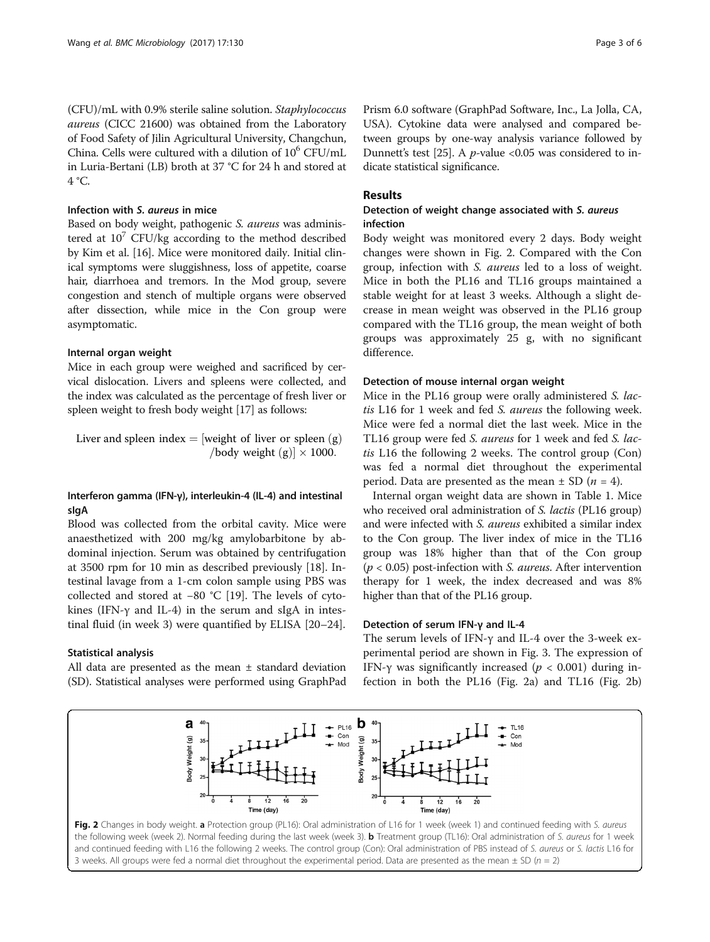(CFU)/mL with 0.9% sterile saline solution. Staphylococcus aureus (CICC 21600) was obtained from the Laboratory of Food Safety of Jilin Agricultural University, Changchun, China. Cells were cultured with a dilution of  $10^6$  CFU/mL in Luria-Bertani (LB) broth at 37 °C for 24 h and stored at 4 °C.

#### Infection with S. aureus in mice

Based on body weight, pathogenic S. aureus was administered at  $10^7$  CFU/kg according to the method described by Kim et al. [\[16](#page-5-0)]. Mice were monitored daily. Initial clinical symptoms were sluggishness, loss of appetite, coarse hair, diarrhoea and tremors. In the Mod group, severe congestion and stench of multiple organs were observed after dissection, while mice in the Con group were asymptomatic.

#### Internal organ weight

Mice in each group were weighed and sacrificed by cervical dislocation. Livers and spleens were collected, and the index was calculated as the percentage of fresh liver or spleen weight to fresh body weight [\[17\]](#page-5-0) as follows:

Liver and spleen index  $=$  [weight of liver or spleen  $(g)$ ] /body weight (g)]  $\times$  1000.

# Interferon gamma (IFN-γ), interleukin-4 (IL-4) and intestinal sIgA

Blood was collected from the orbital cavity. Mice were anaesthetized with 200 mg/kg amylobarbitone by abdominal injection. Serum was obtained by centrifugation at 3500 rpm for 10 min as described previously [[18\]](#page-5-0). Intestinal lavage from a 1-cm colon sample using PBS was collected and stored at −80 °C [[19](#page-5-0)]. The levels of cytokines (IFN- $\gamma$  and IL-4) in the serum and sIgA in intestinal fluid (in week 3) were quantified by ELISA [[20](#page-5-0)–[24](#page-5-0)].

#### Statistical analysis

All data are presented as the mean  $\pm$  standard deviation (SD). Statistical analyses were performed using GraphPad Prism 6.0 software (GraphPad Software, Inc., La Jolla, CA, USA). Cytokine data were analysed and compared between groups by one-way analysis variance followed by Dunnett's test [[25](#page-5-0)]. A  $p$ -value <0.05 was considered to indicate statistical significance.

# Results

# Detection of weight change associated with S. aureus infection

Body weight was monitored every 2 days. Body weight changes were shown in Fig. 2. Compared with the Con group, infection with S. aureus led to a loss of weight. Mice in both the PL16 and TL16 groups maintained a stable weight for at least 3 weeks. Although a slight decrease in mean weight was observed in the PL16 group compared with the TL16 group, the mean weight of both groups was approximately 25 g, with no significant difference.

## Detection of mouse internal organ weight

Mice in the PL16 group were orally administered S. lactis L16 for 1 week and fed S. aureus the following week. Mice were fed a normal diet the last week. Mice in the TL16 group were fed S. *aureus* for 1 week and fed S. *lac*tis L16 the following 2 weeks. The control group (Con) was fed a normal diet throughout the experimental period. Data are presented as the mean  $\pm$  SD (*n* = 4).

Internal organ weight data are shown in Table [1.](#page-3-0) Mice who received oral administration of *S. lactis* (PL16 group) and were infected with *S. aureus* exhibited a similar index to the Con group. The liver index of mice in the TL16 group was 18% higher than that of the Con group  $(p < 0.05)$  post-infection with S. *aureus*. After intervention therapy for 1 week, the index decreased and was 8% higher than that of the PL16 group.

#### Detection of serum IFN-γ and IL-4

The serum levels of IFN-γ and IL-4 over the 3-week experimental period are shown in Fig. [3.](#page-3-0) The expression of IFN-γ was significantly increased ( $p < 0.001$ ) during infection in both the PL16 (Fig. 2a) and TL16 (Fig. 2b)

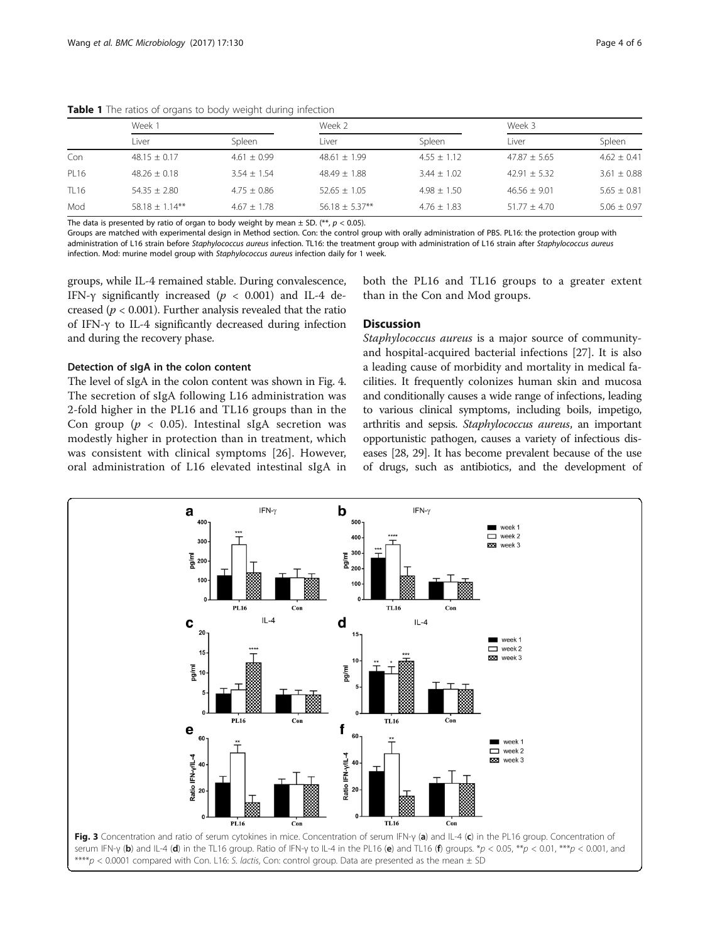|             | Week 1            |                 | Week 2           |                 | Week 3           |                 |
|-------------|-------------------|-----------------|------------------|-----------------|------------------|-----------------|
|             | Liver             | Spleen          | Liver            | Spleen          | Liver            | Spleen          |
| Con         | $48.15 + 0.17$    | $4.61 + 0.99$   | $48.61 + 1.99$   | $4.55 + 1.12$   | $47.87 + 5.65$   | $4.62 + 0.41$   |
| PL16        | $48.26 + 0.18$    | $3.54 + 1.54$   | $48.49 + 1.88$   | $3.44 + 1.02$   | $42.91 + 5.32$   | $3.61 + 0.88$   |
| <b>TL16</b> | $54.35 + 2.80$    | $4.75 \pm 0.86$ | $52.65 \pm 1.05$ | $4.98 \pm 1.50$ | $46.56 + 9.01$   | $5.65 \pm 0.81$ |
| Mod         | $58.18 + 1.14***$ | $4.67 + 1.78$   | $56.18 + 5.37**$ | $4.76 + 1.83$   | $51.77 \pm 4.70$ | $5.06 + 0.97$   |

<span id="page-3-0"></span>Table 1 The ratios of organs to body weight during infection

The data is presented by ratio of organ to body weight by mean ± SD. (\*\*,  $p$  < 0.05).<br>Groups are matched with experimental design in Method section. Con: the control group with orally administration of PBS. PL16: the prot administration of L16 strain before Staphylococcus aureus infection. TL16: the treatment group with administration of L16 strain after Staphylococcus aureus infection. Mod: murine model group with Staphylococcus aureus infection daily for 1 week.

groups, while IL-4 remained stable. During convalescence, IFN- $\gamma$  significantly increased ( $p < 0.001$ ) and IL-4 decreased ( $p < 0.001$ ). Further analysis revealed that the ratio of IFN-γ to IL-4 significantly decreased during infection and during the recovery phase.

## Detection of sIgA in the colon content

The level of sIgA in the colon content was shown in Fig. [4](#page-4-0). The secretion of sIgA following L16 administration was 2-fold higher in the PL16 and TL16 groups than in the Con group ( $p < 0.05$ ). Intestinal sIgA secretion was modestly higher in protection than in treatment, which was consistent with clinical symptoms [[26\]](#page-5-0). However, oral administration of L16 elevated intestinal sIgA in both the PL16 and TL16 groups to a greater extent than in the Con and Mod groups.

# **Discussion**

Staphylococcus aureus is a major source of communityand hospital-acquired bacterial infections [\[27](#page-5-0)]. It is also a leading cause of morbidity and mortality in medical facilities. It frequently colonizes human skin and mucosa and conditionally causes a wide range of infections, leading to various clinical symptoms, including boils, impetigo, arthritis and sepsis. Staphylococcus aureus, an important opportunistic pathogen, causes a variety of infectious diseases [\[28, 29\]](#page-5-0). It has become prevalent because of the use of drugs, such as antibiotics, and the development of

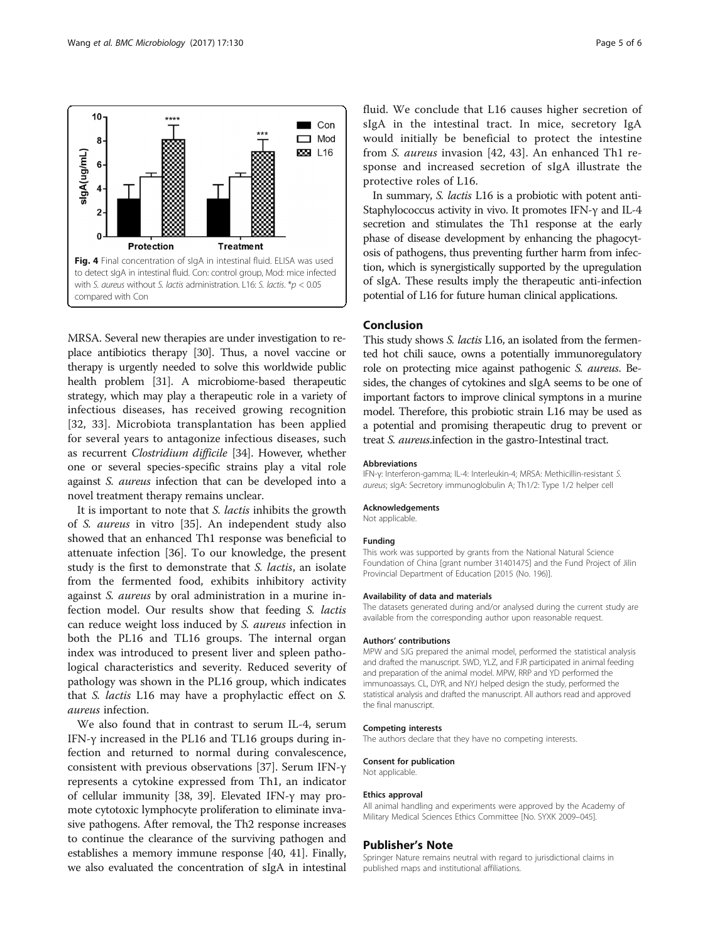<span id="page-4-0"></span>

MRSA. Several new therapies are under investigation to replace antibiotics therapy [\[30\]](#page-5-0). Thus, a novel vaccine or therapy is urgently needed to solve this worldwide public health problem [\[31](#page-5-0)]. A microbiome-based therapeutic strategy, which may play a therapeutic role in a variety of infectious diseases, has received growing recognition [[32, 33](#page-5-0)]. Microbiota transplantation has been applied for several years to antagonize infectious diseases, such as recurrent Clostridium difficile [[34](#page-5-0)]. However, whether one or several species-specific strains play a vital role against S. aureus infection that can be developed into a novel treatment therapy remains unclear.

It is important to note that S. lactis inhibits the growth of S. aureus in vitro [\[35](#page-5-0)]. An independent study also showed that an enhanced Th1 response was beneficial to attenuate infection [[36](#page-5-0)]. To our knowledge, the present study is the first to demonstrate that S. lactis, an isolate from the fermented food, exhibits inhibitory activity against S. aureus by oral administration in a murine infection model. Our results show that feeding S. lactis can reduce weight loss induced by S. aureus infection in both the PL16 and TL16 groups. The internal organ index was introduced to present liver and spleen pathological characteristics and severity. Reduced severity of pathology was shown in the PL16 group, which indicates that S. lactis L16 may have a prophylactic effect on S. aureus infection.

We also found that in contrast to serum IL-4, serum IFN-γ increased in the PL16 and TL16 groups during infection and returned to normal during convalescence, consistent with previous observations [\[37\]](#page-5-0). Serum IFN-γ represents a cytokine expressed from Th1, an indicator of cellular immunity [[38](#page-5-0), [39\]](#page-5-0). Elevated IFN-γ may promote cytotoxic lymphocyte proliferation to eliminate invasive pathogens. After removal, the Th2 response increases to continue the clearance of the surviving pathogen and establishes a memory immune response [[40](#page-5-0), [41](#page-5-0)]. Finally, we also evaluated the concentration of sIgA in intestinal fluid. We conclude that L16 causes higher secretion of sIgA in the intestinal tract. In mice, secretory IgA would initially be beneficial to protect the intestine from S. aureus invasion [[42](#page-5-0), [43\]](#page-5-0). An enhanced Th1 response and increased secretion of sIgA illustrate the protective roles of L16.

In summary, S. lactis L16 is a probiotic with potent anti-Staphylococcus activity in vivo. It promotes IFN-γ and IL-4 secretion and stimulates the Th1 response at the early phase of disease development by enhancing the phagocytosis of pathogens, thus preventing further harm from infection, which is synergistically supported by the upregulation of sIgA. These results imply the therapeutic anti-infection potential of L16 for future human clinical applications.

# Conclusion

This study shows *S. lactis* L16, an isolated from the fermented hot chili sauce, owns a potentially immunoregulatory role on protecting mice against pathogenic S. aureus. Besides, the changes of cytokines and sIgA seems to be one of important factors to improve clinical symptons in a murine model. Therefore, this probiotic strain L16 may be used as a potential and promising therapeutic drug to prevent or treat S. aureus.infection in the gastro-Intestinal tract.

#### Abbreviations

IFN-γ: Interferon-gamma; IL-4: Interleukin-4; MRSA: Methicillin-resistant S. aureus; sIgA: Secretory immunoglobulin A; Th1/2: Type 1/2 helper cell

#### Acknowledgements

Not applicable.

#### Funding

This work was supported by grants from the National Natural Science Foundation of China [grant number 31401475] and the Fund Project of Jilin Provincial Department of Education [2015 (No. 196)].

#### Availability of data and materials

The datasets generated during and/or analysed during the current study are available from the corresponding author upon reasonable request.

#### Authors' contributions

MPW and SJG prepared the animal model, performed the statistical analysis and drafted the manuscript. SWD, YLZ, and FJR participated in animal feeding and preparation of the animal model. MPW, RRP and YD performed the immunoassays. CL, DYR, and NYJ helped design the study, performed the statistical analysis and drafted the manuscript. All authors read and approved the final manuscript.

#### Competing interests

The authors declare that they have no competing interests.

#### Consent for publication

Not applicable.

#### Ethics approval

All animal handling and experiments were approved by the Academy of Military Medical Sciences Ethics Committee [No. SYXK 2009–045].

#### Publisher's Note

Springer Nature remains neutral with regard to jurisdictional claims in published maps and institutional affiliations.